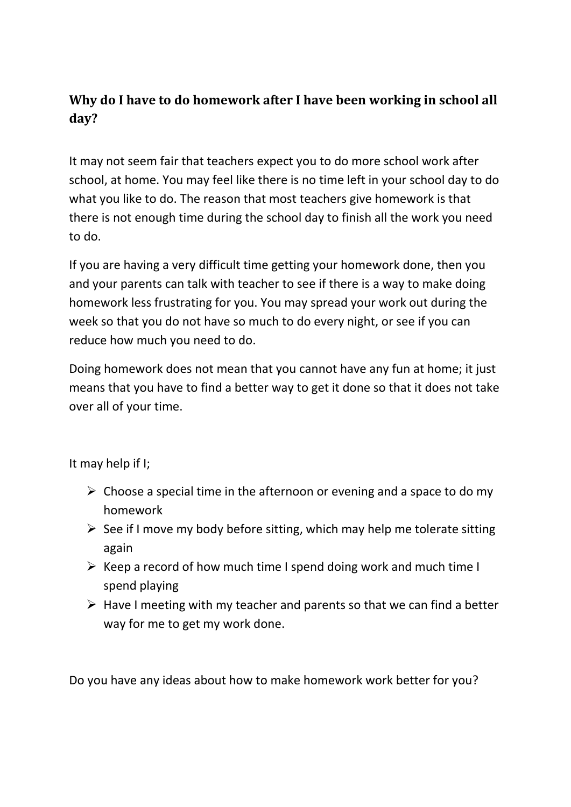## **Why do I have to do homework after I have been working in school all day?**

It may not seem fair that teachers expect you to do more school work after school, at home. You may feel like there is no time left in your school day to do what you like to do. The reason that most teachers give homework is that there is not enough time during the school day to finish all the work you need to do.

If you are having a very difficult time getting your homework done, then you and your parents can talk with teacher to see if there is a way to make doing homework less frustrating for you. You may spread your work out during the week so that you do not have so much to do every night, or see if you can reduce how much you need to do.

Doing homework does not mean that you cannot have any fun at home; it just means that you have to find a better way to get it done so that it does not take over all of your time.

It may help if I;

- $\triangleright$  Choose a special time in the afternoon or evening and a space to do my homework
- $\triangleright$  See if I move my body before sitting, which may help me tolerate sitting again
- $\triangleright$  Keep a record of how much time I spend doing work and much time I spend playing
- $\triangleright$  Have I meeting with my teacher and parents so that we can find a better way for me to get my work done.

Do you have any ideas about how to make homework work better for you?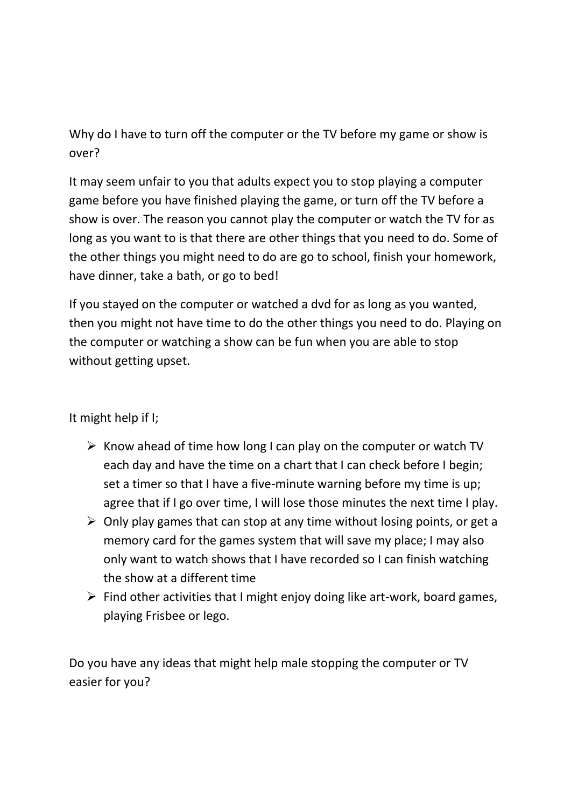Why do I have to turn off the computer or the TV before my game or show is over?

It may seem unfair to you that adults expect you to stop playing a computer game before you have finished playing the game, or turn off the TV before a show is over. The reason you cannot play the computer or watch the TV for as long as you want to is that there are other things that you need to do. Some of the other things you might need to do are go to school, finish your homework, have dinner, take a bath, or go to bed!

If you stayed on the computer or watched a dvd for as long as you wanted, then you might not have time to do the other things you need to do. Playing on the computer or watching a show can be fun when you are able to stop without getting upset.

It might help if I;

- $\triangleright$  Know ahead of time how long I can play on the computer or watch TV each day and have the time on a chart that I can check before I begin; set a timer so that I have a five-minute warning before my time is up; agree that if I go over time, I will lose those minutes the next time I play.
- $\triangleright$  Only play games that can stop at any time without losing points, or get a memory card for the games system that will save my place; I may also only want to watch shows that I have recorded so I can finish watching the show at a different time
- $\triangleright$  Find other activities that I might enjoy doing like art-work, board games, playing Frisbee or lego.

Do you have any ideas that might help male stopping the computer or TV easier for you?